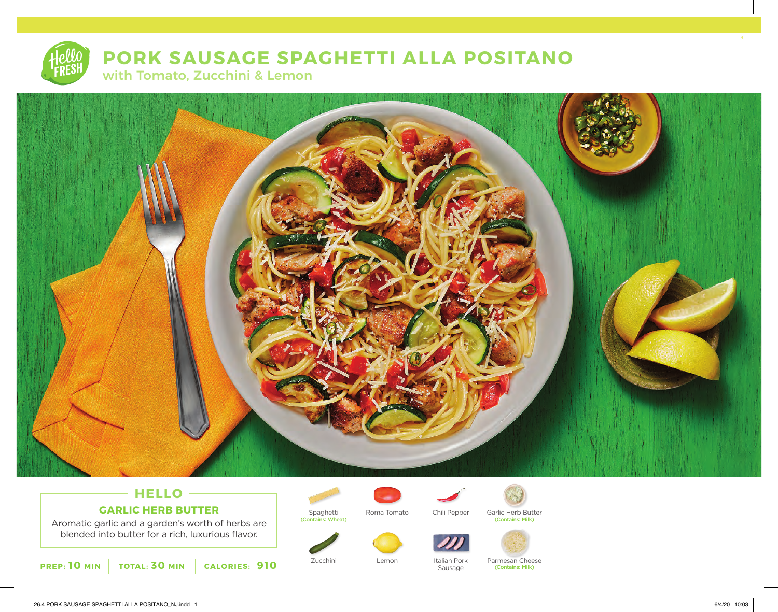# **PORK SAUSAGE SPAGHETTI ALLA POSITANO** with Tomato, Zucchini & Lemon



## **HELLO GARLIC HERB BUTTER**

Aromatic garlic and a garden's worth of herbs are blended into butter for a rich, luxurious flavor.





(Contains: Wheat)

Spaghetti Roma Tomato Chili Pepper Garlic Herb Butter





Lemon



Sausage

Zucchini Lemon Italian Pork Parmesan Cheese (Contains: Milk)

(Contains: Milk)